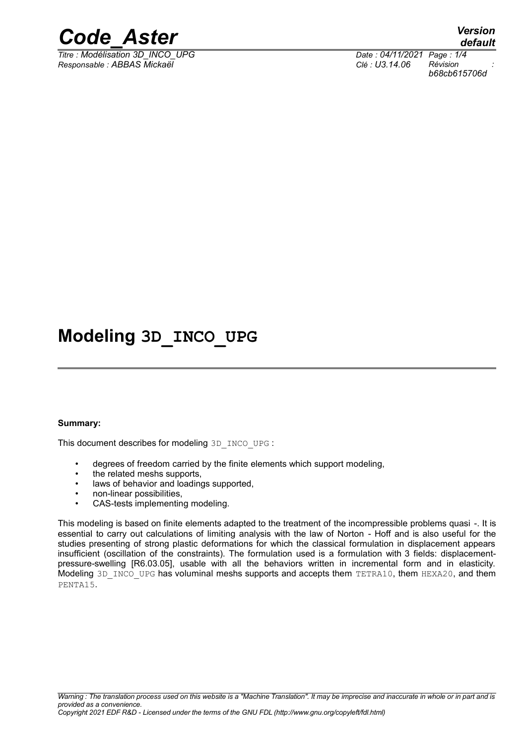

*Responsable : ABBAS Mickaël Clé : U3.14.06 Révision :*

*default Titre : Modélisation 3D\_INCO\_UPG Date : 04/11/2021 Page : 1/4 b68cb615706d*

# **Modeling 3D\_INCO\_UPG**

#### **Summary:**

This document describes for modeling 3D\_INCO\_UPG :

- degrees of freedom carried by the finite elements which support modeling,
- the related meshs supports,
- laws of behavior and loadings supported,
- non-linear possibilities,
- CAS-tests implementing modeling.

This modeling is based on finite elements adapted to the treatment of the incompressible problems quasi -. It is essential to carry out calculations of limiting analysis with the law of Norton - Hoff and is also useful for the studies presenting of strong plastic deformations for which the classical formulation in displacement appears insufficient (oscillation of the constraints). The formulation used is a formulation with 3 fields: displacementpressure-swelling [R6.03.05], usable with all the behaviors written in incremental form and in elasticity. Modeling 3D\_INCO\_UPG has voluminal meshs supports and accepts them TETRA10, them HEXA20, and them PENTA15.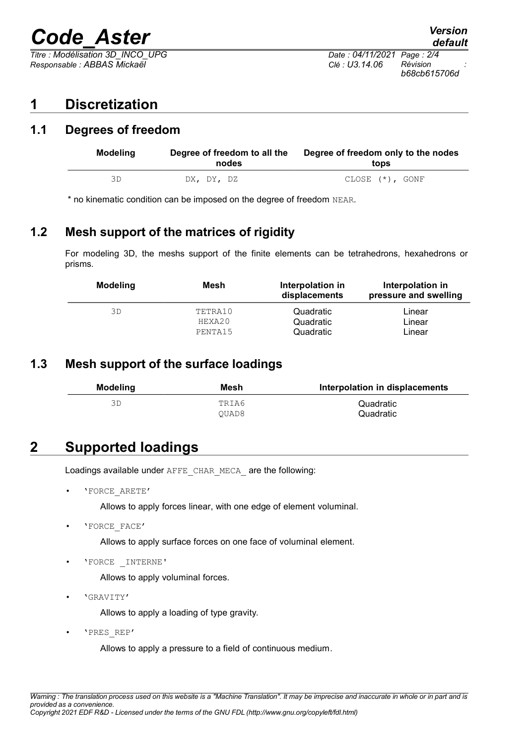# *Code\_Aster Version*

*Titre : Modélisation 3D\_INCO\_UPG Date : 04/11/2021 Page : 2/4 Responsable : ABBAS Mickaël Clé : U3.14.06 Révision :*

# **1 Discretization**

### **1.1 Degrees of freedom**

| <b>Modeling</b> | Degree of freedom to all the<br>nodes | Degree of freedom only to the nodes<br>tops |
|-----------------|---------------------------------------|---------------------------------------------|
| ЗD              | DX, DY, DZ                            | CLOSE $(*)$ , GONF                          |

\* no kinematic condition can be imposed on the degree of freedom NEAR.

### **1.2 Mesh support of the matrices of rigidity**

For modeling 3D, the meshs support of the finite elements can be tetrahedrons, hexahedrons or prisms.

| <b>Modeling</b> | Mesh    | Interpolation in<br>displacements | Interpolation in<br>pressure and swelling |
|-----------------|---------|-----------------------------------|-------------------------------------------|
| ЗD              | TETRA10 | Quadratic                         | Linear                                    |
|                 | HEXA20  | Quadratic                         | Linear                                    |
|                 | PENTA15 | Quadratic                         | Linear                                    |

### **1.3 Mesh support of the surface loadings**

| <b>Modeling</b> | Mesh  | Interpolation in displacements |
|-----------------|-------|--------------------------------|
|                 | TRIA6 | Quadratic                      |
|                 | OUAD8 | Quadratic                      |

# **2 Supported loadings**

Loadings available under AFFE\_CHAR\_MECA\_are the following:

• 'FORCE\_ARETE'

Allows to apply forces linear, with one edge of element voluminal.

• 'FORCE\_FACE'

Allows to apply surface forces on one face of voluminal element.

• 'FORCE \_INTERNE'

Allows to apply voluminal forces.

• 'GRAVITY'

Allows to apply a loading of type gravity.

• 'PRES\_REP'

Allows to apply a pressure to a field of continuous medium.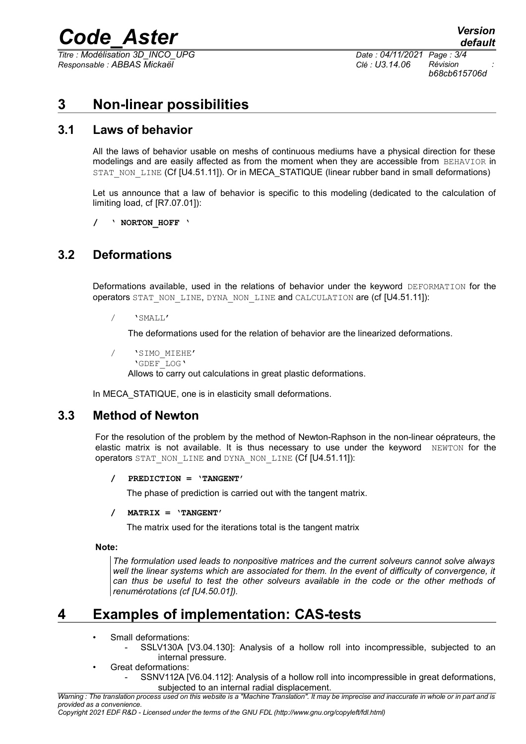# *Code\_Aster Version*

*Titre : Modélisation 3D\_INCO\_UPG Date : 04/11/2021 Page : 3/4 Responsable : ABBAS Mickaël Clé : U3.14.06 Révision :*

*b68cb615706d*

# **3 Non-linear possibilities**

### **3.1 Laws of behavior**

All the laws of behavior usable on meshs of continuous mediums have a physical direction for these modelings and are easily affected as from the moment when they are accessible from BEHAVIOR in STAT\_NON\_LINE (Cf [U4.51.11]). Or in MECA\_STATIQUE (linear rubber band in small deformations)

Let us announce that a law of behavior is specific to this modeling (dedicated to the calculation of limiting load, cf [R7.07.01]):

**/ ' NORTON\_HOFF '**

### **3.2 Deformations**

Deformations available, used in the relations of behavior under the keyword DEFORMATION for the operators STAT\_NON\_LINE, DYNA\_NON\_LINE and CALCULATION are (cf [U4.51.11]):

/ 'SMALL'

The deformations used for the relation of behavior are the linearized deformations.

- / 'SIMO\_MIEHE'
	- 'GDEF\_LOG'

Allows to carry out calculations in great plastic deformations.

In MECA STATIQUE, one is in elasticity small deformations.

#### **3.3 Method of Newton**

For the resolution of the problem by the method of Newton-Raphson in the non-linear oéprateurs, the elastic matrix is not available. It is thus necessary to use under the keyword NEWTON for the operators STAT\_NON\_LINE and DYNA\_NON\_LINE (Cf [U4.51.11]):

**/ PREDICTION = 'TANGENT'**

The phase of prediction is carried out with the tangent matrix.

**/ MATRIX = 'TANGENT'**

The matrix used for the iterations total is the tangent matrix

**Note:**

*The formulation used leads to nonpositive matrices and the current solveurs cannot solve always well the linear systems which are associated for them. In the event of difficulty of convergence, it can thus be useful to test the other solveurs available in the code or the other methods of renumérotations (cf [U4.50.01]).*

# **4 Examples of implementation: CAS-tests**

- Small deformations:
	- SSLV130A [V3.04.130]: Analysis of a hollow roll into incompressible, subjected to an internal pressure.
	- Great deformations:
		- SSNV112A [V6.04.112]: Analysis of a hollow roll into incompressible in great deformations, subjected to an internal radial displacement.

*Warning : The translation process used on this website is a "Machine Translation". It may be imprecise and inaccurate in whole or in part and is provided as a convenience.*

*Copyright 2021 EDF R&D - Licensed under the terms of the GNU FDL (http://www.gnu.org/copyleft/fdl.html)*